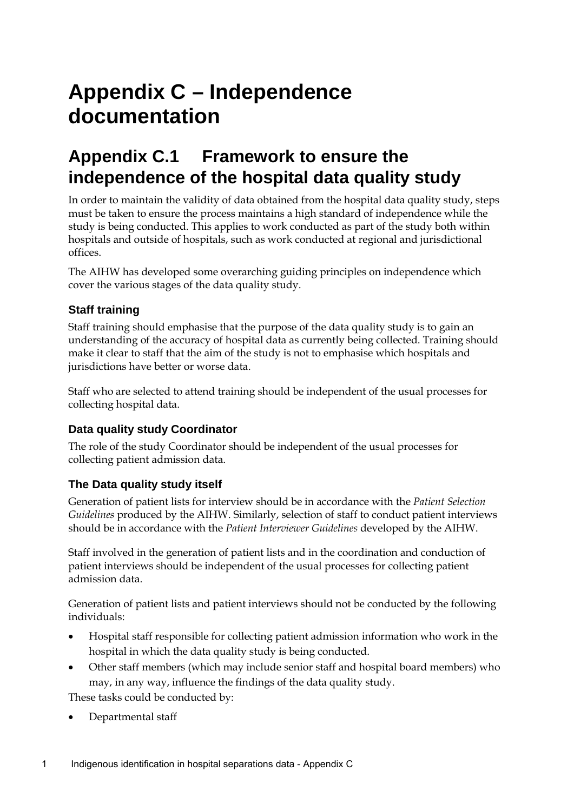# **Appendix C – Independence documentation**

## **Appendix C.1 Framework to ensure the independence of the hospital data quality study**

In order to maintain the validity of data obtained from the hospital data quality study, steps must be taken to ensure the process maintains a high standard of independence while the study is being conducted. This applies to work conducted as part of the study both within hospitals and outside of hospitals, such as work conducted at regional and jurisdictional offices.

The AIHW has developed some overarching guiding principles on independence which cover the various stages of the data quality study.

#### **Staff training**

Staff training should emphasise that the purpose of the data quality study is to gain an understanding of the accuracy of hospital data as currently being collected. Training should make it clear to staff that the aim of the study is not to emphasise which hospitals and jurisdictions have better or worse data.

Staff who are selected to attend training should be independent of the usual processes for collecting hospital data.

#### **Data quality study Coordinator**

The role of the study Coordinator should be independent of the usual processes for collecting patient admission data.

#### **The Data quality study itself**

Generation of patient lists for interview should be in accordance with the *Patient Selection Guidelines* produced by the AIHW. Similarly, selection of staff to conduct patient interviews should be in accordance with the *Patient Interviewer Guidelines* developed by the AIHW.

Staff involved in the generation of patient lists and in the coordination and conduction of patient interviews should be independent of the usual processes for collecting patient admission data.

Generation of patient lists and patient interviews should not be conducted by the following individuals:

- Hospital staff responsible for collecting patient admission information who work in the hospital in which the data quality study is being conducted.
- Other staff members (which may include senior staff and hospital board members) who may, in any way, influence the findings of the data quality study.

These tasks could be conducted by:

• Departmental staff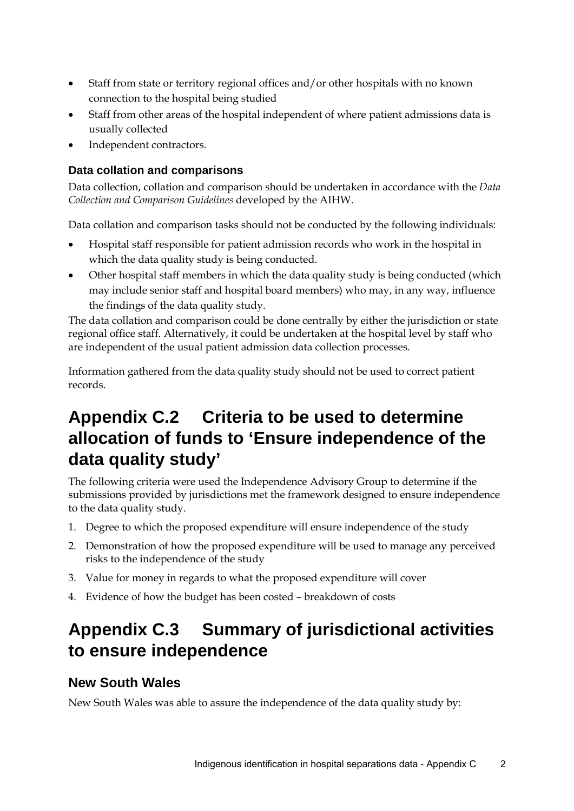- Staff from state or territory regional offices and/or other hospitals with no known connection to the hospital being studied
- Staff from other areas of the hospital independent of where patient admissions data is usually collected
- Independent contractors.

#### **Data collation and comparisons**

Data collection, collation and comparison should be undertaken in accordance with the *Data Collection and Comparison Guidelines* developed by the AIHW.

Data collation and comparison tasks should not be conducted by the following individuals:

- Hospital staff responsible for patient admission records who work in the hospital in which the data quality study is being conducted.
- Other hospital staff members in which the data quality study is being conducted (which may include senior staff and hospital board members) who may, in any way, influence the findings of the data quality study.

The data collation and comparison could be done centrally by either the jurisdiction or state regional office staff. Alternatively, it could be undertaken at the hospital level by staff who are independent of the usual patient admission data collection processes.

Information gathered from the data quality study should not be used to correct patient records.

## **Appendix C.2 Criteria to be used to determine allocation of funds to 'Ensure independence of the data quality study'**

The following criteria were used the Independence Advisory Group to determine if the submissions provided by jurisdictions met the framework designed to ensure independence to the data quality study.

- 1. Degree to which the proposed expenditure will ensure independence of the study
- 2. Demonstration of how the proposed expenditure will be used to manage any perceived risks to the independence of the study
- 3. Value for money in regards to what the proposed expenditure will cover
- 4. Evidence of how the budget has been costed breakdown of costs

## **Appendix C.3 Summary of jurisdictional activities to ensure independence**

#### **New South Wales**

New South Wales was able to assure the independence of the data quality study by: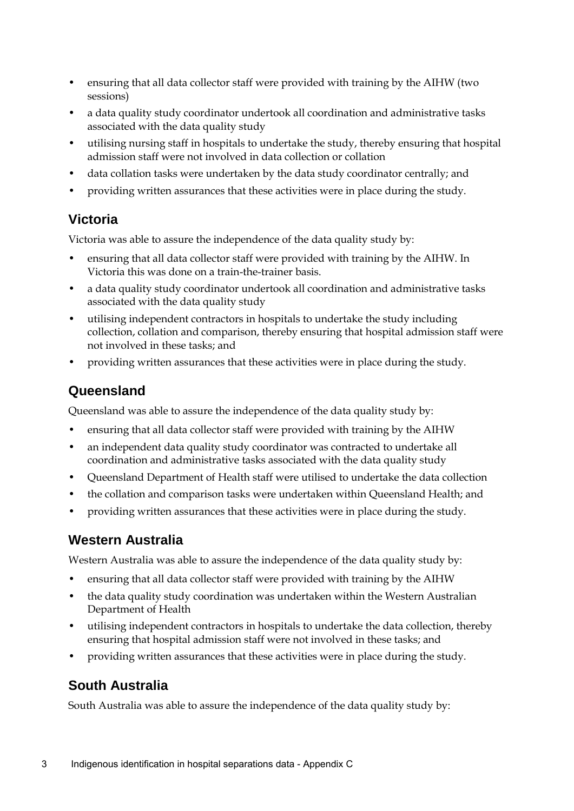- ensuring that all data collector staff were provided with training by the AIHW (two sessions)
- a data quality study coordinator undertook all coordination and administrative tasks associated with the data quality study
- utilising nursing staff in hospitals to undertake the study, thereby ensuring that hospital admission staff were not involved in data collection or collation
- data collation tasks were undertaken by the data study coordinator centrally; and
- providing written assurances that these activities were in place during the study.

## **Victoria**

Victoria was able to assure the independence of the data quality study by:

- ensuring that all data collector staff were provided with training by the AIHW. In Victoria this was done on a train-the-trainer basis.
- a data quality study coordinator undertook all coordination and administrative tasks associated with the data quality study
- utilising independent contractors in hospitals to undertake the study including collection, collation and comparison, thereby ensuring that hospital admission staff were not involved in these tasks; and
- providing written assurances that these activities were in place during the study.

## **Queensland**

Queensland was able to assure the independence of the data quality study by:

- ensuring that all data collector staff were provided with training by the AIHW
- an independent data quality study coordinator was contracted to undertake all coordination and administrative tasks associated with the data quality study
- Queensland Department of Health staff were utilised to undertake the data collection
- the collation and comparison tasks were undertaken within Queensland Health; and
- providing written assurances that these activities were in place during the study.

## **Western Australia**

Western Australia was able to assure the independence of the data quality study by:

- ensuring that all data collector staff were provided with training by the AIHW
- the data quality study coordination was undertaken within the Western Australian Department of Health
- utilising independent contractors in hospitals to undertake the data collection, thereby ensuring that hospital admission staff were not involved in these tasks; and
- providing written assurances that these activities were in place during the study.

### **South Australia**

South Australia was able to assure the independence of the data quality study by: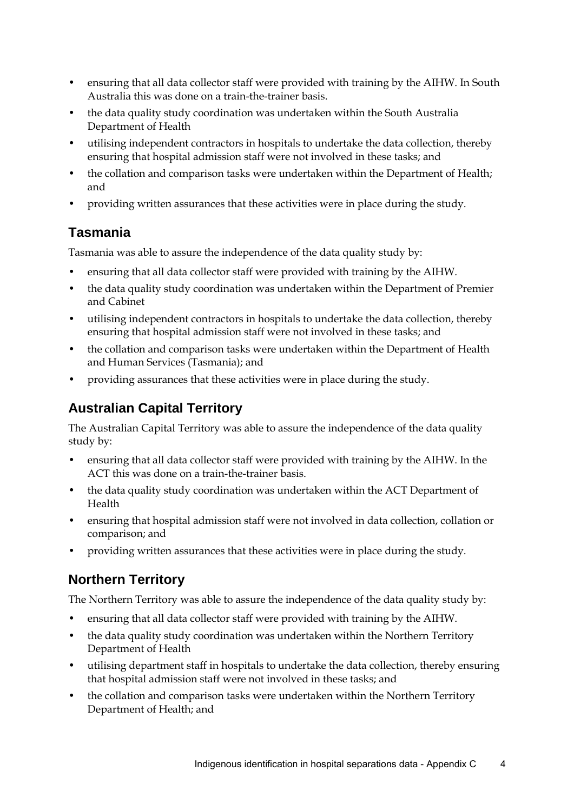- ensuring that all data collector staff were provided with training by the AIHW. In South Australia this was done on a train-the-trainer basis.
- the data quality study coordination was undertaken within the South Australia Department of Health
- utilising independent contractors in hospitals to undertake the data collection, thereby ensuring that hospital admission staff were not involved in these tasks; and
- the collation and comparison tasks were undertaken within the Department of Health; and
- providing written assurances that these activities were in place during the study.

## **Tasmania**

Tasmania was able to assure the independence of the data quality study by:

- ensuring that all data collector staff were provided with training by the AIHW.
- the data quality study coordination was undertaken within the Department of Premier and Cabinet
- utilising independent contractors in hospitals to undertake the data collection, thereby ensuring that hospital admission staff were not involved in these tasks; and
- the collation and comparison tasks were undertaken within the Department of Health and Human Services (Tasmania); and
- providing assurances that these activities were in place during the study.

## **Australian Capital Territory**

The Australian Capital Territory was able to assure the independence of the data quality study by:

- ensuring that all data collector staff were provided with training by the AIHW. In the ACT this was done on a train-the-trainer basis.
- the data quality study coordination was undertaken within the ACT Department of Health
- ensuring that hospital admission staff were not involved in data collection, collation or comparison; and
- providing written assurances that these activities were in place during the study.

## **Northern Territory**

The Northern Territory was able to assure the independence of the data quality study by:

- ensuring that all data collector staff were provided with training by the AIHW.
- the data quality study coordination was undertaken within the Northern Territory Department of Health
- utilising department staff in hospitals to undertake the data collection, thereby ensuring that hospital admission staff were not involved in these tasks; and
- the collation and comparison tasks were undertaken within the Northern Territory Department of Health; and